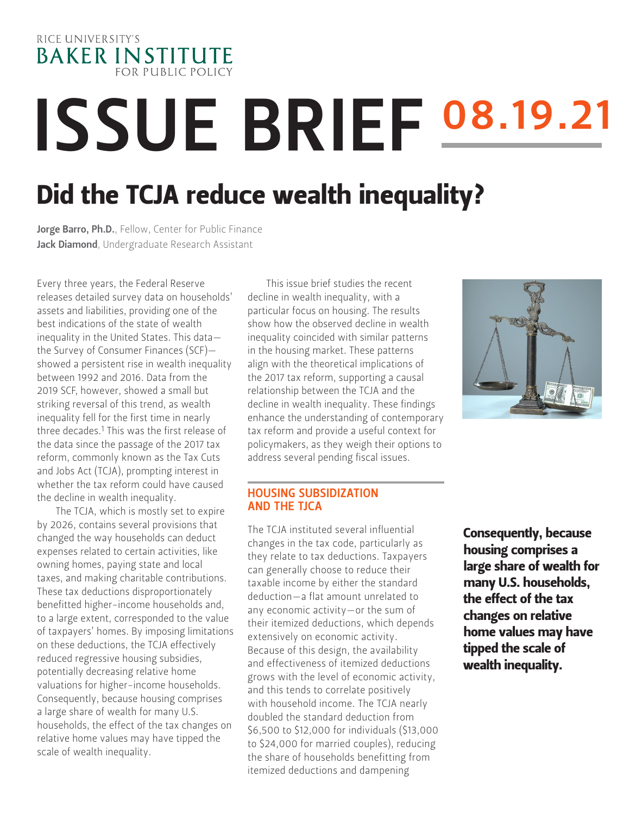# RICE UNIVERSITY'S **BAKER INSTITUTE FOR PUBLIC POLICY**

# **ISSUE BRIEF 08.19.21**

# Did the TCJA reduce wealth inequality?

Jorge Barro, Ph.D.[, Fellow, Center for Public Finance](https://www.bakerinstitute.org/experts/jorge-barro/) Jack Diamond, Undergraduate Research Assistant

Every three years, the Federal Reserve releases detailed survey data on households' assets and liabilities, providing one of the best indications of the state of wealth inequality in the United States. This data the Survey of Consumer Finances (SCF) showed a persistent rise in wealth inequality between 1992 and 2016. Data from the 2019 SCF, however, showed a small but striking reversal of this trend, as wealth inequality fell for the first time in nearly three decades.<sup>1</sup> This was the first release of the data since the passage of the 2017 tax reform, commonly known as the Tax Cuts and Jobs Act (TCJA), prompting interest in whether the tax reform could have caused the decline in wealth inequality.

The TCJA, which is mostly set to expire by 2026, contains several provisions that changed the way households can deduct expenses related to certain activities, like owning homes, paying state and local taxes, and making charitable contributions. These tax deductions disproportionately benefitted higher-income households and, to a large extent, corresponded to the value of taxpayers' homes. By imposing limitations on these deductions, the TCJA effectively reduced regressive housing subsidies, potentially decreasing relative home valuations for higher-income households. Consequently, because housing comprises a large share of wealth for many U.S. households, the effect of the tax changes on relative home values may have tipped the scale of wealth inequality.

This issue brief studies the recent decline in wealth inequality, with a particular focus on housing. The results show how the observed decline in wealth inequality coincided with similar patterns in the housing market. These patterns align with the theoretical implications of the 2017 tax reform, supporting a causal relationship between the TCJA and the decline in wealth inequality. These findings enhance the understanding of contemporary tax reform and provide a useful context for policymakers, as they weigh their options to address several pending fiscal issues.

### HOUSING SUBSIDIZATION AND THE TJCA

The TCJA instituted several influential changes in the tax code, particularly as they relate to tax deductions. Taxpayers can generally choose to reduce their taxable income by either the standard deduction—a flat amount unrelated to any economic activity—or the sum of their itemized deductions, which depends extensively on economic activity. Because of this design, the availability and effectiveness of itemized deductions grows with the level of economic activity, and this tends to correlate positively with household income. The TCJA nearly doubled the standard deduction from \$6,500 to \$12,000 for individuals (\$13,000 to \$24,000 for married couples), reducing the share of households benefitting from itemized deductions and dampening



Consequently, because housing comprises a large share of wealth for many U.S. households, the effect of the tax changes on relative home values may have tipped the scale of wealth inequality.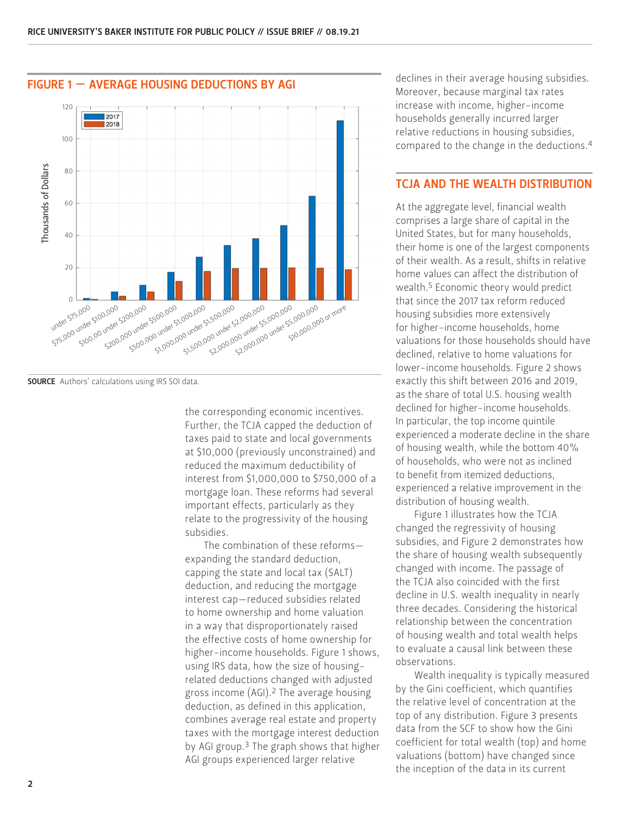

the corresponding economic incentives. Further, the TCJA capped the deduction of taxes paid to state and local governments at \$10,000 (previously unconstrained) and reduced the maximum deductibility of interest from \$1,000,000 to \$750,000 of a mortgage loan. These reforms had several important effects, particularly as they relate to the progressivity of the housing subsidies.

The combination of these reforms expanding the standard deduction, capping the state and local tax (SALT) deduction, and reducing the mortgage interest cap—reduced subsidies related to home ownership and home valuation in a way that disproportionately raised the effective costs of home ownership for higher-income households. Figure 1 shows, using IRS data, how the size of housingrelated deductions changed with adjusted gross income (AGI).2 The average housing deduction, as defined in this application, combines average real estate and property taxes with the mortgage interest deduction by AGI group.3 The graph shows that higher AGI groups experienced larger relative

declines in their average housing subsidies. Moreover, because marginal tax rates increase with income, higher-income households generally incurred larger relative reductions in housing subsidies, compared to the change in the deductions.4

#### TCJA AND THE WEALTH DISTRIBUTION

At the aggregate level, financial wealth comprises a large share of capital in the United States, but for many households, their home is one of the largest components of their wealth. As a result, shifts in relative home values can affect the distribution of wealth.5 Economic theory would predict that since the 2017 tax reform reduced housing subsidies more extensively for higher-income households, home valuations for those households should have declined, relative to home valuations for lower-income households. Figure 2 shows exactly this shift between 2016 and 2019, as the share of total U.S. housing wealth declined for higher-income households. In particular, the top income quintile experienced a moderate decline in the share of housing wealth, while the bottom 40% of households, who were not as inclined to benefit from itemized deductions, experienced a relative improvement in the distribution of housing wealth.

Figure 1 illustrates how the TCJA changed the regressivity of housing subsidies, and Figure 2 demonstrates how the share of housing wealth subsequently changed with income. The passage of the TCJA also coincided with the first decline in U.S. wealth inequality in nearly three decades. Considering the historical relationship between the concentration of housing wealth and total wealth helps to evaluate a causal link between these observations.

Wealth inequality is typically measured by the Gini coefficient, which quantifies the relative level of concentration at the top of any distribution. Figure 3 presents data from the SCF to show how the Gini coefficient for total wealth (top) and home valuations (bottom) have changed since the inception of the data in its current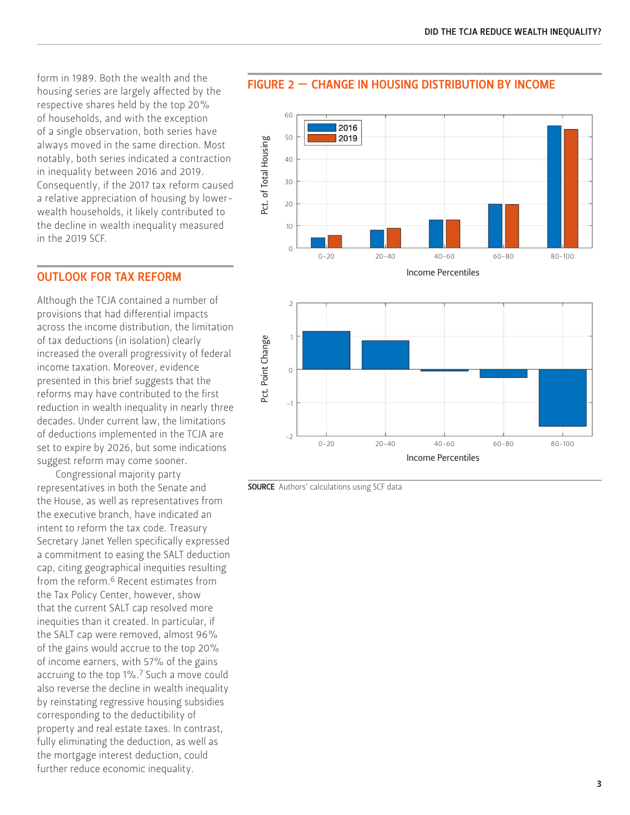form in 1989. Both the wealth and the housing series are largely affected by the respective shares held by the top 20% of households, and with the exception of a single observation, both series have always moved in the same direction. Most notably, both series indicated a contraction in inequality between 2016 and 2019. Consequently, if the 2017 tax reform caused a relative appreciation of housing by lowerwealth households, it likely contributed to the decline in wealth inequality measured in the 2019 SCF.

#### OUTLOOK FOR TAX REFORM

Although the TCJA contained a number of provisions that had differential impacts across the income distribution, the limitation of tax deductions (in isolation) clearly increased the overall progressivity of federal income taxation. Moreover, evidence presented in this brief suggests that the reforms may have contributed to the first reduction in wealth inequality in nearly three decades. Under current law, the limitations of deductions implemented in the TCJA are set to expire by 2026, but some indications suggest reform may come sooner.

Congressional majority party representatives in both the Senate and the House, as well as representatives from the executive branch, have indicated an intent to reform the tax code. Treasury Secretary Janet Yellen specifically expressed a commitment to easing the SALT deduction cap, citing geographical inequities resulting from the reform.6 Recent estimates from the Tax Policy Center, however, show that the current SALT cap resolved more inequities than it created. In particular, if the SALT cap were removed, almost 96% of the gains would accrue to the top 20% of income earners, with 57% of the gains accruing to the top 1%.7 Such a move could also reverse the decline in wealth inequality by reinstating regressive housing subsidies corresponding to the deductibility of property and real estate taxes. In contrast, fully eliminating the deduction, as well as the mortgage interest deduction, could further reduce economic inequality.

#### FIGURE 2 — CHANGE IN HOUSING DISTRIBUTION BY INCOME



Income Percentiles



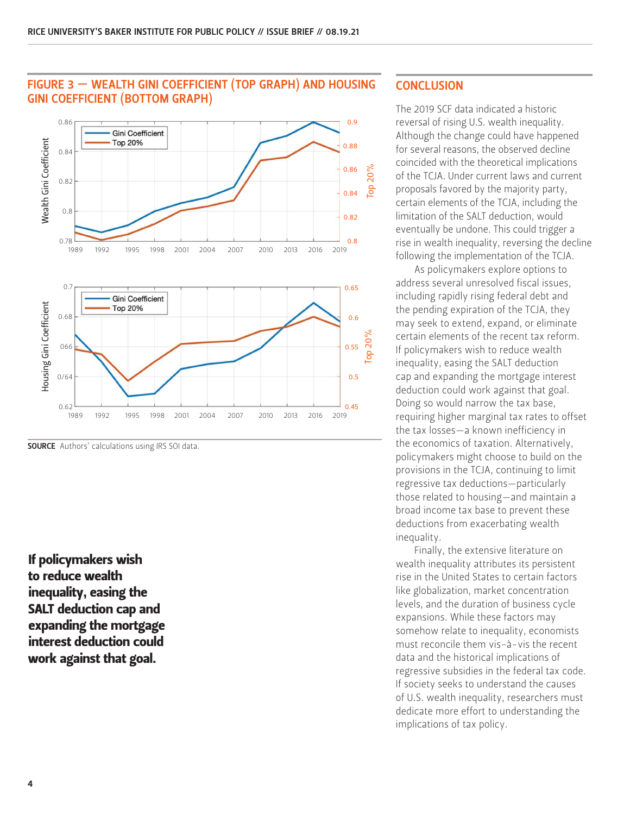

### FIGURE 3 — WEALTH GINI COEFFICIENT (TOP GRAPH) AND HOUSING GINI COEFFICIENT (BOTTOM GRAPH)

If policymakers wish to reduce wealth inequality, easing the SALT deduction cap and expanding the mortgage interest deduction could work against that goal.

## **CONCLUSION**

The 2019 SCF data indicated a historic reversal of rising U.S. wealth inequality. Although the change could have happened for several reasons, the observed decline coincided with the theoretical implications of the TCJA. Under current laws and current proposals favored by the majority party, certain elements of the TCJA, including the limitation of the SALT deduction, would eventually be undone. This could trigger a rise in wealth inequality, reversing the decline following the implementation of the TCJA.

As policymakers explore options to address several unresolved fiscal issues, including rapidly rising federal debt and the pending expiration of the TCJA, they may seek to extend, expand, or eliminate certain elements of the recent tax reform. If policymakers wish to reduce wealth inequality, easing the SALT deduction cap and expanding the mortgage interest deduction could work against that goal. Doing so would narrow the tax base, requiring higher marginal tax rates to offset the tax losses—a known inefficiency in the economics of taxation. Alternatively, policymakers might choose to build on the provisions in the TCJA, continuing to limit regressive tax deductions—particularly those related to housing—and maintain a broad income tax base to prevent these deductions from exacerbating wealth inequality.

Finally, the extensive literature on wealth inequality attributes its persistent rise in the United States to certain factors like globalization, market concentration levels, and the duration of business cycle expansions. While these factors may somehow relate to inequality, economists must reconcile them vis-à-vis the recent data and the historical implications of regressive subsidies in the federal tax code. If society seeks to understand the causes of U.S. wealth inequality, researchers must dedicate more effort to understanding the implications of tax policy.